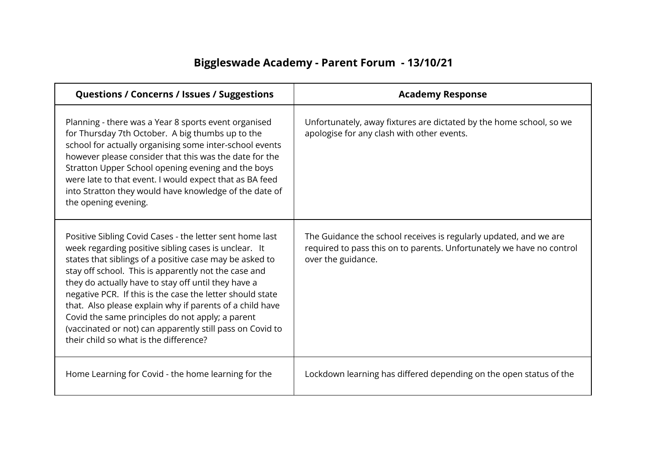## **Biggleswade Academy - Parent Forum - 13/10/21**

| <b>Questions / Concerns / Issues / Suggestions</b>                                                                                                                                                                                                                                                                                                                                                                                                                                                                                                                             | <b>Academy Response</b>                                                                                                                                          |
|--------------------------------------------------------------------------------------------------------------------------------------------------------------------------------------------------------------------------------------------------------------------------------------------------------------------------------------------------------------------------------------------------------------------------------------------------------------------------------------------------------------------------------------------------------------------------------|------------------------------------------------------------------------------------------------------------------------------------------------------------------|
| Planning - there was a Year 8 sports event organised<br>for Thursday 7th October. A big thumbs up to the<br>school for actually organising some inter-school events<br>however please consider that this was the date for the<br>Stratton Upper School opening evening and the boys<br>were late to that event. I would expect that as BA feed<br>into Stratton they would have knowledge of the date of<br>the opening evening.                                                                                                                                               | Unfortunately, away fixtures are dictated by the home school, so we<br>apologise for any clash with other events.                                                |
| Positive Sibling Covid Cases - the letter sent home last<br>week regarding positive sibling cases is unclear. It<br>states that siblings of a positive case may be asked to<br>stay off school. This is apparently not the case and<br>they do actually have to stay off until they have a<br>negative PCR. If this is the case the letter should state<br>that. Also please explain why if parents of a child have<br>Covid the same principles do not apply; a parent<br>(vaccinated or not) can apparently still pass on Covid to<br>their child so what is the difference? | The Guidance the school receives is regularly updated, and we are<br>required to pass this on to parents. Unfortunately we have no control<br>over the guidance. |
| Home Learning for Covid - the home learning for the                                                                                                                                                                                                                                                                                                                                                                                                                                                                                                                            | Lockdown learning has differed depending on the open status of the                                                                                               |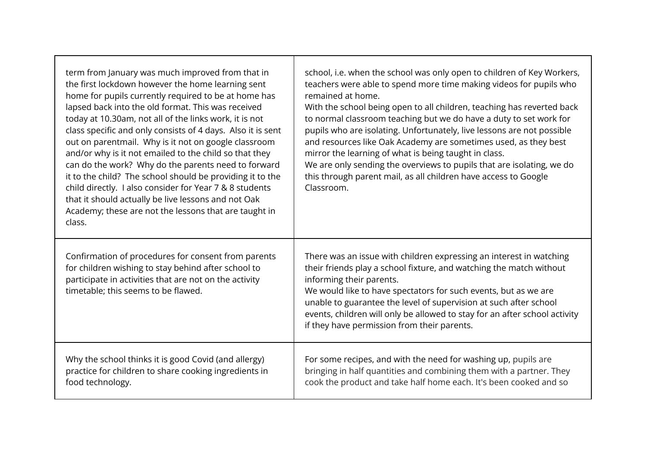| term from January was much improved from that in<br>the first lockdown however the home learning sent<br>home for pupils currently required to be at home has<br>lapsed back into the old format. This was received<br>today at 10.30am, not all of the links work, it is not<br>class specific and only consists of 4 days. Also it is sent<br>out on parentmail. Why is it not on google classroom<br>and/or why is it not emailed to the child so that they<br>can do the work? Why do the parents need to forward<br>it to the child? The school should be providing it to the<br>child directly. I also consider for Year 7 & 8 students<br>that it should actually be live lessons and not Oak<br>Academy; these are not the lessons that are taught in<br>class. | school, i.e. when the school was only open to children of Key Workers,<br>teachers were able to spend more time making videos for pupils who<br>remained at home.<br>With the school being open to all children, teaching has reverted back<br>to normal classroom teaching but we do have a duty to set work for<br>pupils who are isolating. Unfortunately, live lessons are not possible<br>and resources like Oak Academy are sometimes used, as they best<br>mirror the learning of what is being taught in class.<br>We are only sending the overviews to pupils that are isolating, we do<br>this through parent mail, as all children have access to Google<br>Classroom. |
|-------------------------------------------------------------------------------------------------------------------------------------------------------------------------------------------------------------------------------------------------------------------------------------------------------------------------------------------------------------------------------------------------------------------------------------------------------------------------------------------------------------------------------------------------------------------------------------------------------------------------------------------------------------------------------------------------------------------------------------------------------------------------|-----------------------------------------------------------------------------------------------------------------------------------------------------------------------------------------------------------------------------------------------------------------------------------------------------------------------------------------------------------------------------------------------------------------------------------------------------------------------------------------------------------------------------------------------------------------------------------------------------------------------------------------------------------------------------------|
| Confirmation of procedures for consent from parents<br>for children wishing to stay behind after school to<br>participate in activities that are not on the activity<br>timetable; this seems to be flawed.                                                                                                                                                                                                                                                                                                                                                                                                                                                                                                                                                             | There was an issue with children expressing an interest in watching<br>their friends play a school fixture, and watching the match without<br>informing their parents.<br>We would like to have spectators for such events, but as we are<br>unable to guarantee the level of supervision at such after school<br>events, children will only be allowed to stay for an after school activity<br>if they have permission from their parents.                                                                                                                                                                                                                                       |
| Why the school thinks it is good Covid (and allergy)<br>practice for children to share cooking ingredients in<br>food technology.                                                                                                                                                                                                                                                                                                                                                                                                                                                                                                                                                                                                                                       | For some recipes, and with the need for washing up, pupils are<br>bringing in half quantities and combining them with a partner. They<br>cook the product and take half home each. It's been cooked and so                                                                                                                                                                                                                                                                                                                                                                                                                                                                        |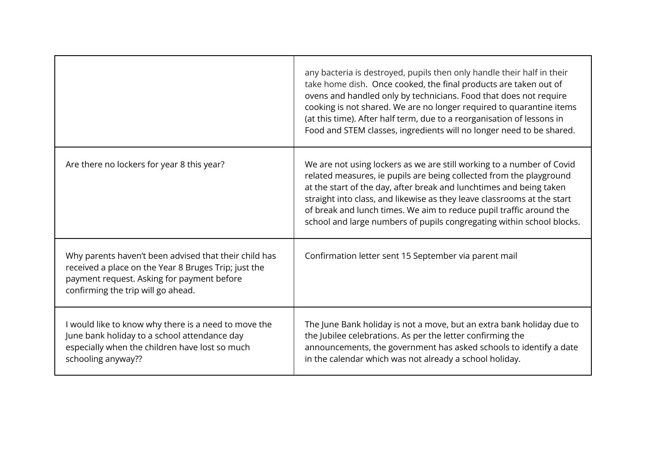|                                                                                                                                                                                                   | any bacteria is destroyed, pupils then only handle their half in their<br>take home dish. Once cooked, the final products are taken out of<br>ovens and handled only by technicians. Food that does not require<br>cooking is not shared. We are no longer required to quarantine items<br>(at this time). After half term, due to a reorganisation of lessons in<br>Food and STEM classes, ingredients will no longer need to be shared.      |
|---------------------------------------------------------------------------------------------------------------------------------------------------------------------------------------------------|------------------------------------------------------------------------------------------------------------------------------------------------------------------------------------------------------------------------------------------------------------------------------------------------------------------------------------------------------------------------------------------------------------------------------------------------|
| Are there no lockers for year 8 this year?                                                                                                                                                        | We are not using lockers as we are still working to a number of Covid<br>related measures, ie pupils are being collected from the playground<br>at the start of the day, after break and lunchtimes and being taken<br>straight into class, and likewise as they leave classrooms at the start<br>of break and lunch times. We aim to reduce pupil traffic around the<br>school and large numbers of pupils congregating within school blocks. |
| Why parents haven't been advised that their child has<br>received a place on the Year 8 Bruges Trip; just the<br>payment request. Asking for payment before<br>confirming the trip will go ahead. | Confirmation letter sent 15 September via parent mail                                                                                                                                                                                                                                                                                                                                                                                          |
| I would like to know why there is a need to move the<br>June bank holiday to a school attendance day<br>especially when the children have lost so much<br>schooling anyway??                      | The June Bank holiday is not a move, but an extra bank holiday due to<br>the Jubilee celebrations. As per the letter confirming the<br>announcements, the government has asked schools to identify a date<br>in the calendar which was not already a school holiday.                                                                                                                                                                           |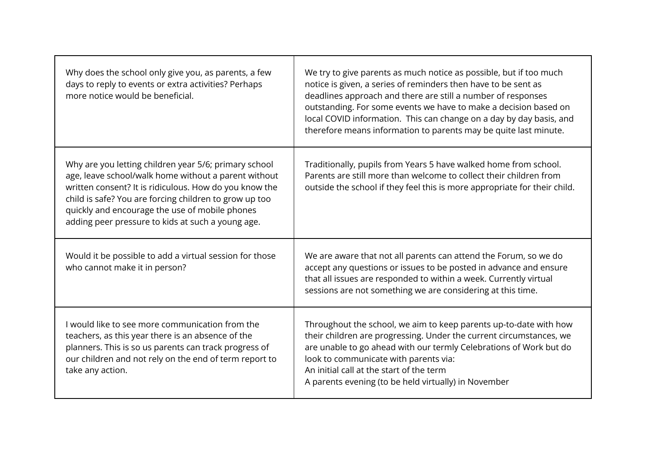| Why does the school only give you, as parents, a few<br>days to reply to events or extra activities? Perhaps<br>more notice would be beneficial.                                                                                                                                                                                         | We try to give parents as much notice as possible, but if too much<br>notice is given, a series of reminders then have to be sent as<br>deadlines approach and there are still a number of responses<br>outstanding. For some events we have to make a decision based on<br>local COVID information. This can change on a day by day basis, and<br>therefore means information to parents may be quite last minute. |
|------------------------------------------------------------------------------------------------------------------------------------------------------------------------------------------------------------------------------------------------------------------------------------------------------------------------------------------|---------------------------------------------------------------------------------------------------------------------------------------------------------------------------------------------------------------------------------------------------------------------------------------------------------------------------------------------------------------------------------------------------------------------|
| Why are you letting children year 5/6; primary school<br>age, leave school/walk home without a parent without<br>written consent? It is ridiculous. How do you know the<br>child is safe? You are forcing children to grow up too<br>quickly and encourage the use of mobile phones<br>adding peer pressure to kids at such a young age. | Traditionally, pupils from Years 5 have walked home from school.<br>Parents are still more than welcome to collect their children from<br>outside the school if they feel this is more appropriate for their child.                                                                                                                                                                                                 |
| Would it be possible to add a virtual session for those<br>who cannot make it in person?                                                                                                                                                                                                                                                 | We are aware that not all parents can attend the Forum, so we do<br>accept any questions or issues to be posted in advance and ensure<br>that all issues are responded to within a week. Currently virtual<br>sessions are not something we are considering at this time.                                                                                                                                           |
| I would like to see more communication from the<br>teachers, as this year there is an absence of the<br>planners. This is so us parents can track progress of<br>our children and not rely on the end of term report to<br>take any action.                                                                                              | Throughout the school, we aim to keep parents up-to-date with how<br>their children are progressing. Under the current circumstances, we<br>are unable to go ahead with our termly Celebrations of Work but do<br>look to communicate with parents via:<br>An initial call at the start of the term<br>A parents evening (to be held virtually) in November                                                         |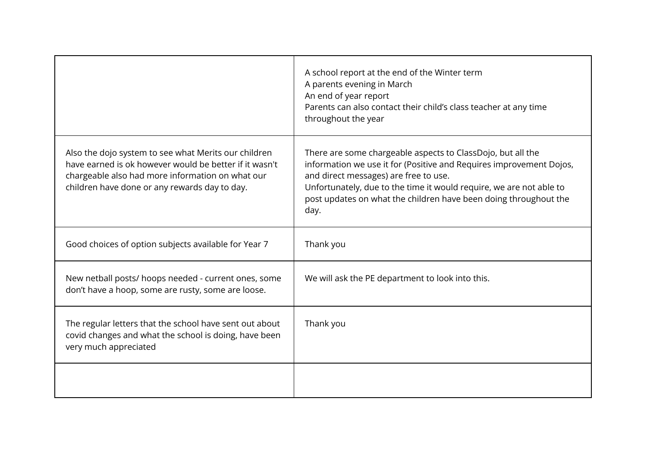|                                                                                                                                                                                                                     | A school report at the end of the Winter term<br>A parents evening in March<br>An end of year report<br>Parents can also contact their child's class teacher at any time<br>throughout the year                                                                                                                                |
|---------------------------------------------------------------------------------------------------------------------------------------------------------------------------------------------------------------------|--------------------------------------------------------------------------------------------------------------------------------------------------------------------------------------------------------------------------------------------------------------------------------------------------------------------------------|
| Also the dojo system to see what Merits our children<br>have earned is ok however would be better if it wasn't<br>chargeable also had more information on what our<br>children have done or any rewards day to day. | There are some chargeable aspects to ClassDojo, but all the<br>information we use it for (Positive and Requires improvement Dojos,<br>and direct messages) are free to use.<br>Unfortunately, due to the time it would require, we are not able to<br>post updates on what the children have been doing throughout the<br>day. |
| Good choices of option subjects available for Year 7                                                                                                                                                                | Thank you                                                                                                                                                                                                                                                                                                                      |
| New netball posts/ hoops needed - current ones, some<br>don't have a hoop, some are rusty, some are loose.                                                                                                          | We will ask the PE department to look into this.                                                                                                                                                                                                                                                                               |
| The regular letters that the school have sent out about<br>covid changes and what the school is doing, have been<br>very much appreciated                                                                           | Thank you                                                                                                                                                                                                                                                                                                                      |
|                                                                                                                                                                                                                     |                                                                                                                                                                                                                                                                                                                                |